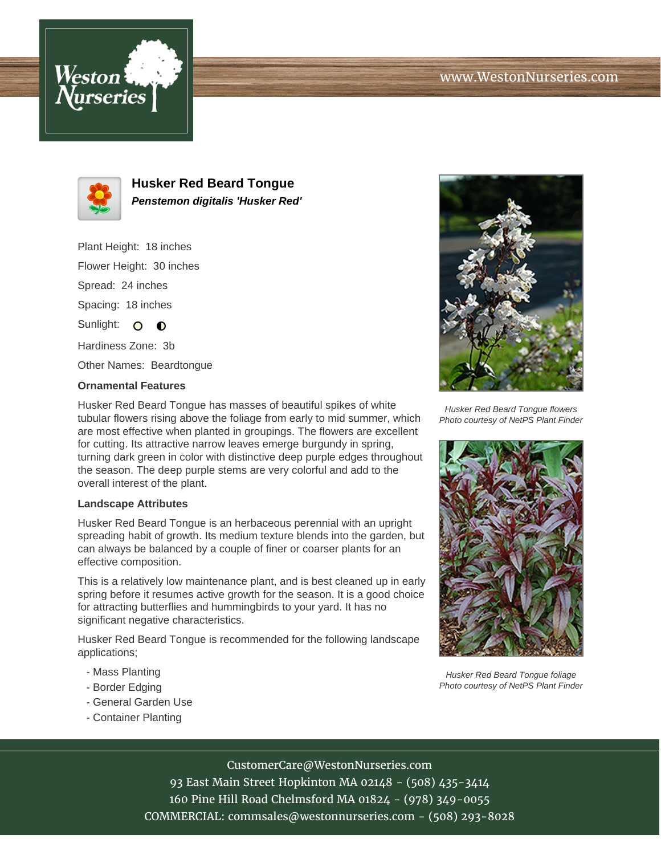



**Husker Red Beard Tongue Penstemon digitalis 'Husker Red'**

Plant Height: 18 inches Flower Height: 30 inches Spread: 24 inches Spacing: 18 inches Sunlight: O O Hardiness Zone: 3b

Other Names: Beardtongue

## **Ornamental Features**

Husker Red Beard Tongue has masses of beautiful spikes of white tubular flowers rising above the foliage from early to mid summer, which are most effective when planted in groupings. The flowers are excellent for cutting. Its attractive narrow leaves emerge burgundy in spring, turning dark green in color with distinctive deep purple edges throughout the season. The deep purple stems are very colorful and add to the overall interest of the plant.

## **Landscape Attributes**

Husker Red Beard Tongue is an herbaceous perennial with an upright spreading habit of growth. Its medium texture blends into the garden, but can always be balanced by a couple of finer or coarser plants for an effective composition.

This is a relatively low maintenance plant, and is best cleaned up in early spring before it resumes active growth for the season. It is a good choice for attracting butterflies and hummingbirds to your yard. It has no significant negative characteristics.

Husker Red Beard Tongue is recommended for the following landscape applications;

- Mass Planting
- Border Edging
- General Garden Use
- Container Planting



Husker Red Beard Tongue flowers Photo courtesy of NetPS Plant Finder



Husker Red Beard Tongue foliage Photo courtesy of NetPS Plant Finder

## CustomerCare@WestonNurseries.com

93 East Main Street Hopkinton MA 02148 - (508) 435-3414 160 Pine Hill Road Chelmsford MA 01824 - (978) 349-0055 COMMERCIAL: commsales@westonnurseries.com - (508) 293-8028